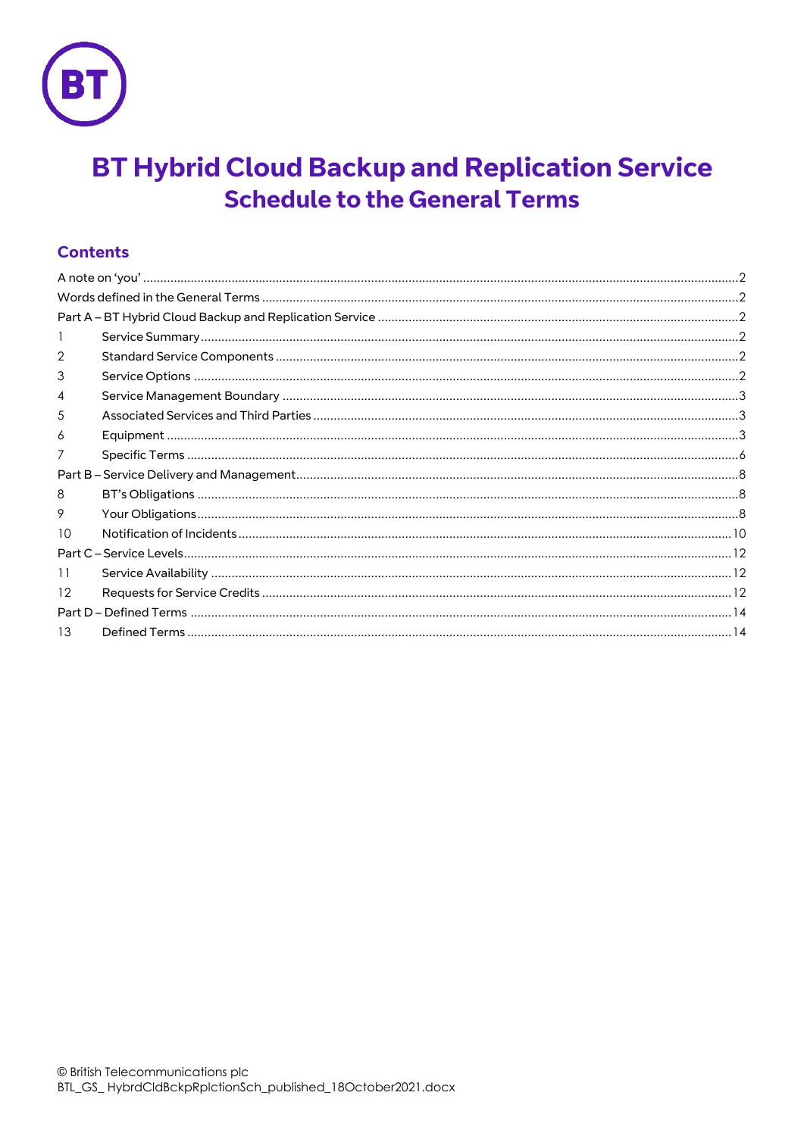

# **BT Hybrid Cloud Backup and Replication Service Schedule to the General Terms**

# **Contents**

| $\overline{2}$ |  |  |  |  |  |
|----------------|--|--|--|--|--|
| 3              |  |  |  |  |  |
| 4              |  |  |  |  |  |
| 5              |  |  |  |  |  |
| 6              |  |  |  |  |  |
|                |  |  |  |  |  |
|                |  |  |  |  |  |
| 8              |  |  |  |  |  |
| 9              |  |  |  |  |  |
| 10             |  |  |  |  |  |
|                |  |  |  |  |  |
| 11             |  |  |  |  |  |
| 12             |  |  |  |  |  |
|                |  |  |  |  |  |
| 13             |  |  |  |  |  |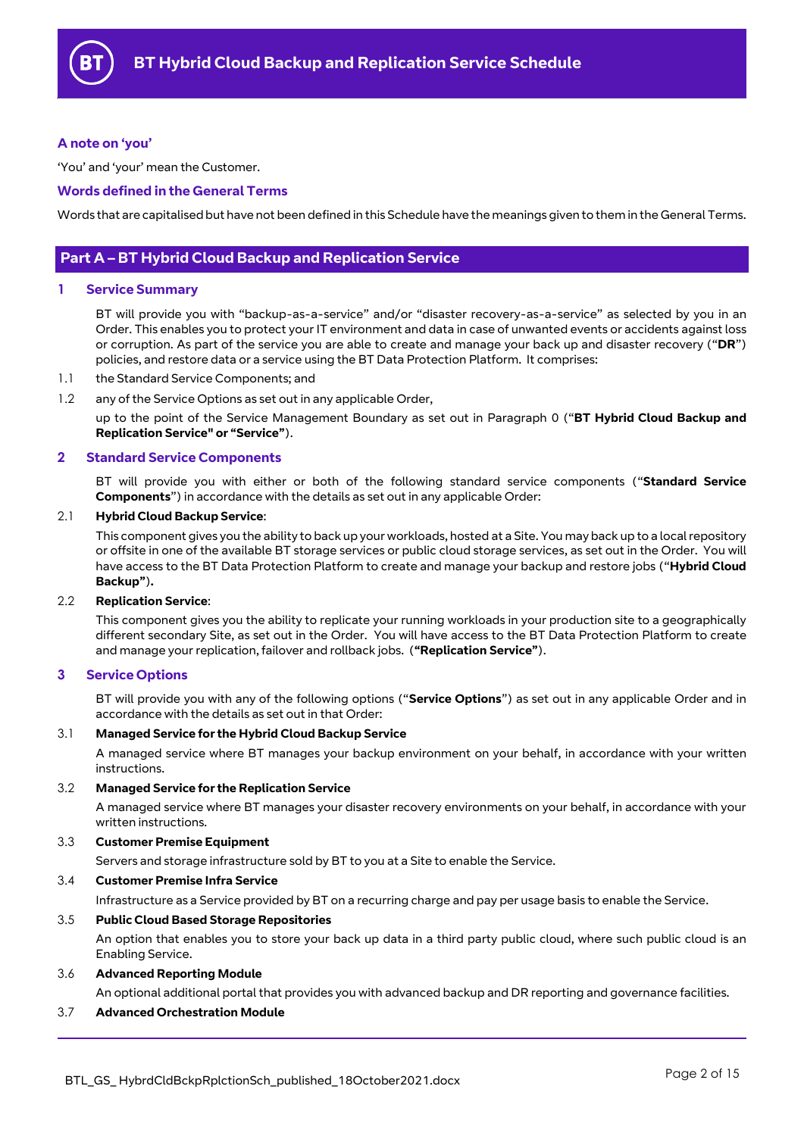

## <span id="page-1-0"></span>**A note on 'you'**

'You' and 'your' mean the Customer.

#### <span id="page-1-1"></span>**Words defined in the General Terms**

Words that are capitalised but have not been defined in this Schedule have the meanings given to them in the General Terms.

## <span id="page-1-2"></span>**Part A – BT Hybrid Cloud Backup and Replication Service**

#### <span id="page-1-10"></span><span id="page-1-3"></span>**1 Service Summary**

BT will provide you with "backup-as-a-service" and/or "disaster recovery-as-a-service" as selected by you in an Order. This enables you to protect your IT environment and data in case of unwanted events or accidents against loss or corruption. As part of the service you are able to create and manage your back up and disaster recovery ("**DR**") policies, and restore data or a service using the BT Data Protection Platform. It comprises:

- 1.1 the Standard Service Components; and
- 1.2 any of the Service Options as set out in any applicable Order,

up to the point of the Service Management Boundary as set out in Paragraph [0](#page-1-6) ("**BT Hybrid Cloud Backup and Replication Service" or "Service"**).

#### <span id="page-1-4"></span>**2 Standard Service Components**

BT will provide you with either or both of the following standard service components ("**Standard Service Components**") in accordance with the details as set out in any applicable Order:

#### 2.1 **Hybrid Cloud Backup Service**:

This component gives you the ability to back up your workloads, hosted at a Site. You may back up to a local repository or offsite in one of the available BT storage services or public cloud storage services, as set out in the Order. You will have access to the BT Data Protection Platform to create and manage your backup and restore jobs ("**Hybrid Cloud Backup"**)**.**

#### 2.2 **Replication Service**:

This component gives you the ability to replicate your running workloads in your production site to a geographically different secondary Site, as set out in the Order. You will have access to the BT Data Protection Platform to create and manage your replication, failover and rollback jobs. (**"Replication Service"**).

#### <span id="page-1-6"></span><span id="page-1-5"></span>**3 Service Options**

BT will provide you with any of the following options ("**Service Options**") as set out in any applicable Order and in accordance with the details as set out in that Order:

#### <span id="page-1-7"></span>3.1 **Managed Service for the Hybrid Cloud Backup Service**

A managed service where BT manages your backup environment on your behalf, in accordance with your written instructions.

## <span id="page-1-8"></span>3.2 **Managed Service for the Replication Service**

A managed service where BT manages your disaster recovery environments on your behalf, in accordance with your written instructions.

#### 3.3 **Customer Premise Equipment**

Servers and storage infrastructure sold by BT to you at a Site to enable the Service.

#### <span id="page-1-9"></span>3.4 **Customer Premise Infra Service**

Infrastructure as a Service provided by BT on a recurring charge and pay per usage basis to enable the Service.

#### 3.5 **Public Cloud Based Storage Repositories**

An option that enables you to store your back up data in a third party public cloud, where such public cloud is an Enabling Service.

## 3.6 **Advanced Reporting Module**

An optional additional portal that provides you with advanced backup and DR reporting and governance facilities.

## 3.7 **Advanced Orchestration Module**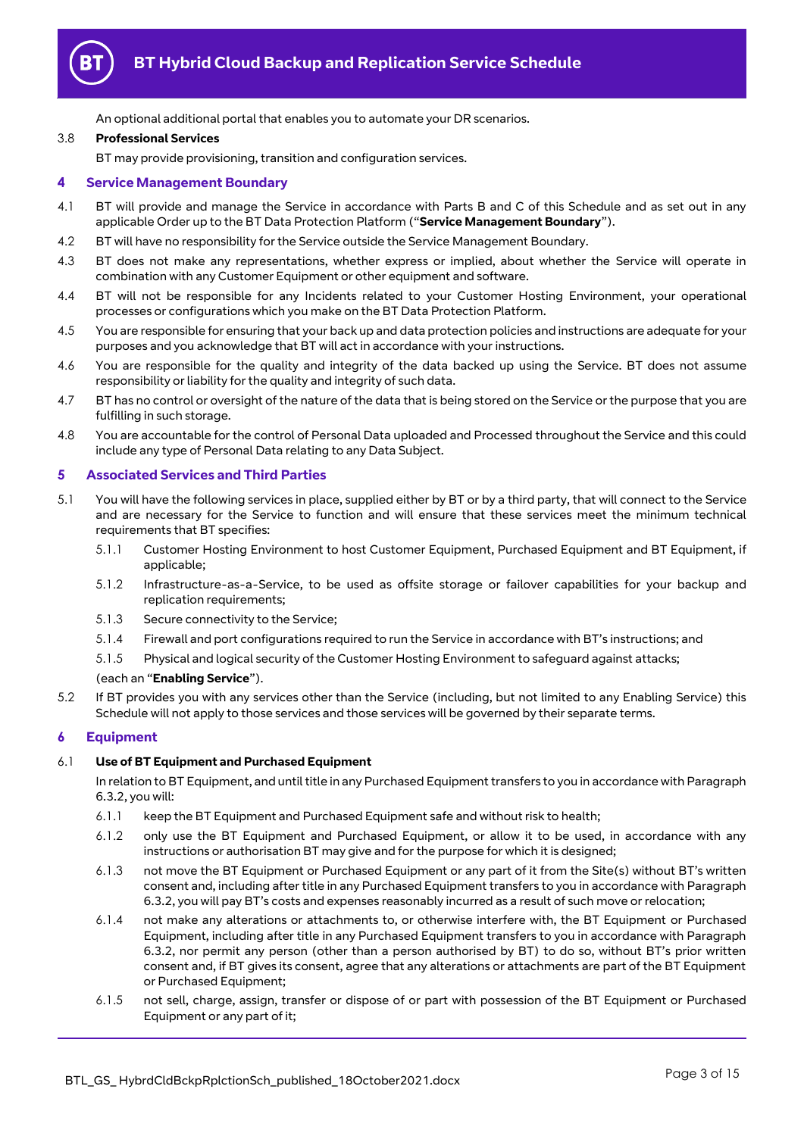

An optional additional portal that enables you to automate your DR scenarios.

#### 3.8 **Professional Services**

BT may provide provisioning, transition and configuration services.

## <span id="page-2-0"></span>**4 Service Management Boundary**

- <span id="page-2-4"></span>4.1 BT will provide and manage the Service in accordance with Parts B and C of this Schedule and as set out in any applicable Order up to the BT Data Protection Platform ("**Service Management Boundary**").
- 4.2 BT will have no responsibility for the Service outside the Service Management Boundary.
- 4.3 BT does not make any representations, whether express or implied, about whether the Service will operate in combination with any Customer Equipment or other equipment and software.
- 4.4 BT will not be responsible for any Incidents related to your Customer Hosting Environment, your operational processes or configurations which you make on the BT Data Protection Platform.
- 4.5 You are responsible for ensuring that your back up and data protection policies and instructions are adequate for your purposes and you acknowledge that BT will act in accordance with your instructions.
- 4.6 You are responsible for the quality and integrity of the data backed up using the Service. BT does not assume responsibility or liability for the quality and integrity of such data.
- 4.7 BT has no control or oversight of the nature of the data that is being stored on the Service or the purpose that you are fulfilling in such storage.
- 4.8 You are accountable for the control of Personal Data uploaded and Processed throughout the Service and this could include any type of Personal Data relating to any Data Subject.

## <span id="page-2-1"></span>**5 Associated Services and Third Parties**

- <span id="page-2-3"></span>5.1 You will have the following services in place, supplied either by BT or by a third party, that will connect to the Service and are necessary for the Service to function and will ensure that these services meet the minimum technical requirements that BT specifies:
	- 5.1.1 Customer Hosting Environment to host Customer Equipment, Purchased Equipment and BT Equipment, if applicable;
	- 5.1.2 Infrastructure-as-a-Service, to be used as offsite storage or failover capabilities for your backup and replication requirements;
	- 5.1.3 Secure connectivity to the Service;
	- 5.1.4 Firewall and port configurations required to run the Service in accordance with BT's instructions; and
	- 5.1.5 Physical and logical security of the Customer Hosting Environment to safeguard against attacks;

#### (each an "**Enabling Service**").

5.2 If BT provides you with any services other than the Service (including, but not limited to any Enabling Service) this Schedule will not apply to those services and those services will be governed by their separate terms.

## <span id="page-2-2"></span>**6 Equipment**

#### 6.1 **Use of BT Equipment and Purchased Equipment**

In relation to BT Equipment, and until title in any Purchased Equipment transfers to you in accordance with Paragraph [6.3.2,](#page-3-0) you will:

- 6.1.1 keep the BT Equipment and Purchased Equipment safe and without risk to health;
- 6.1.2 only use the BT Equipment and Purchased Equipment, or allow it to be used, in accordance with any instructions or authorisation BT may give and for the purpose for which it is designed;
- 6.1.3 not move the BT Equipment or Purchased Equipment or any part of it from the Site(s) without BT's written consent and, including after title in any Purchased Equipment transfers to you in accordance with Paragraph [6.3.2](#page-3-0), you will pay BT's costs and expenses reasonably incurred as a result of such move or relocation;
- 6.1.4 not make any alterations or attachments to, or otherwise interfere with, the BT Equipment or Purchased Equipment, including after title in any Purchased Equipment transfers to you in accordance with Paragraph [6.3.2,](#page-3-0) nor permit any person (other than a person authorised by BT) to do so, without BT's prior written consent and, if BT gives its consent, agree that any alterations or attachments are part of the BT Equipment or Purchased Equipment;
- 6.1.5 not sell, charge, assign, transfer or dispose of or part with possession of the BT Equipment or Purchased Equipment or any part of it;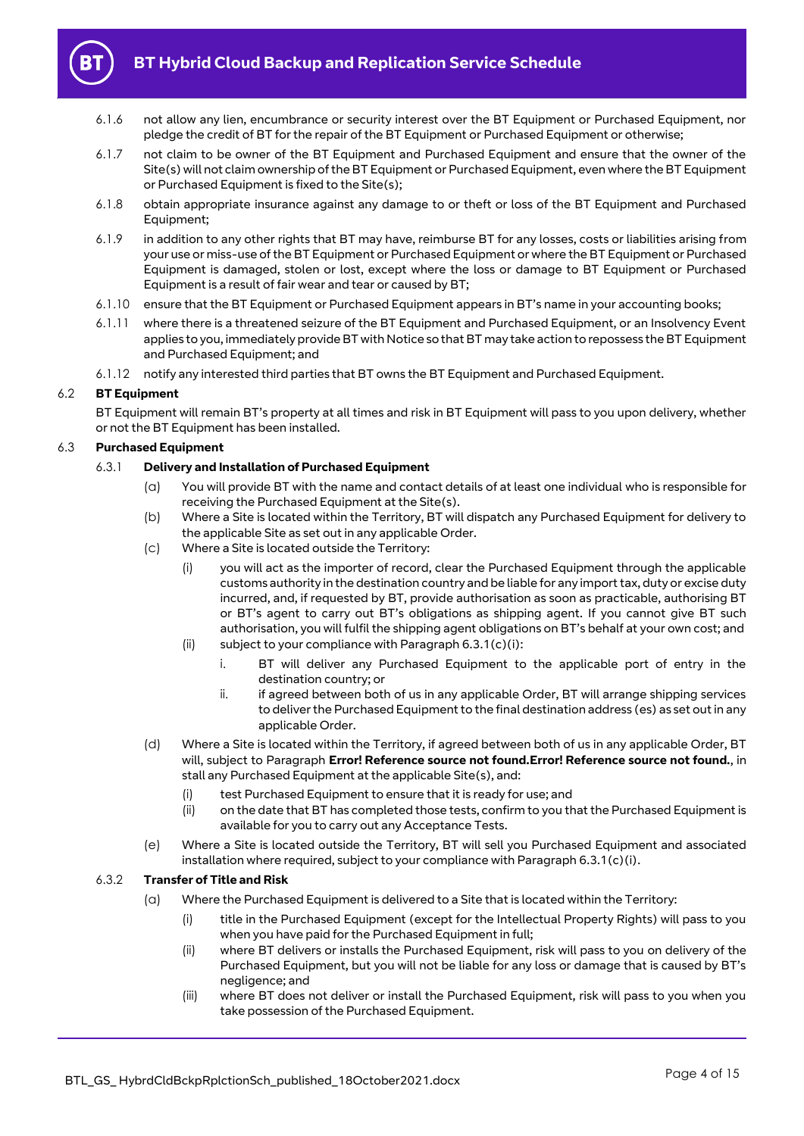

- 6.1.6 not allow any lien, encumbrance or security interest over the BT Equipment or Purchased Equipment, nor pledge the credit of BT for the repair of the BT Equipment or Purchased Equipment or otherwise;
- 6.1.7 not claim to be owner of the BT Equipment and Purchased Equipment and ensure that the owner of the Site(s) will not claim ownership of the BT Equipment or Purchased Equipment, even where the BT Equipment or Purchased Equipment is fixed to the Site(s);
- 6.1.8 obtain appropriate insurance against any damage to or theft or loss of the BT Equipment and Purchased Equipment;
- 6.1.9 in addition to any other rights that BT may have, reimburse BT for any losses, costs or liabilities arising from your use or miss-use of the BT Equipment or Purchased Equipment or where the BT Equipment or Purchased Equipment is damaged, stolen or lost, except where the loss or damage to BT Equipment or Purchased Equipment is a result of fair wear and tear or caused by BT;
- 6.1.10 ensure that the BT Equipment or Purchased Equipment appears in BT's name in your accounting books;
- 6.1.11 where there is a threatened seizure of the BT Equipment and Purchased Equipment, or an Insolvency Event applies to you, immediately provide BT with Notice so that BT may take action to repossess the BT Equipment and Purchased Equipment; and
- 6.1.12 notify any interested third parties that BT owns the BT Equipment and Purchased Equipment.

## 6.2 **BT Equipment**

BT Equipment will remain BT's property at all times and risk in BT Equipment will pass to you upon delivery, whether or not the BT Equipment has been installed.

## 6.3 **Purchased Equipment**

## 6.3.1 **Delivery and Installation of Purchased Equipment**

- (a) You will provide BT with the name and contact details of at least one individual who is responsible for receiving the Purchased Equipment at the Site(s).
- (b) Where a Site is located within the Territory, BT will dispatch any Purchased Equipment for delivery to the applicable Site as set out in any applicable Order.
- <span id="page-3-1"></span>(c) Where a Site is located outside the Territory:
	- (i) you will act as the importer of record, clear the Purchased Equipment through the applicable customs authority in the destination country and be liable for any import tax, duty or excise duty incurred, and, if requested by BT, provide authorisation as soon as practicable, authorising BT or BT's agent to carry out BT's obligations as shipping agent. If you cannot give BT such authorisation, you will fulfil the shipping agent obligations on BT's behalf at your own cost; and  $(ii)$  subject to your compliance with Paragraph [6.3.1\(c\)\(i\):](#page-3-1)
	- - i. BT will deliver any Purchased Equipment to the applicable port of entry in the destination country; or
		- ii. if agreed between both of us in any applicable Order, BT will arrange shipping services to deliver the Purchased Equipment to the final destination address (es) as set out in any applicable Order.
- (d) Where a Site is located within the Territory, if agreed between both of us in any applicable Order, BT will, subject to Paragraph **Error! Reference source not found.Error! Reference source not found.**, in stall any Purchased Equipment at the applicable Site(s), and:
	- (i) test Purchased Equipment to ensure that it is ready for use; and
	- (ii) on the date that BT has completed those tests, confirm to you that the Purchased Equipment is available for you to carry out any Acceptance Tests.
- (e) Where a Site is located outside the Territory, BT will sell you Purchased Equipment and associated installation where required, subject to your compliance with Paragrap[h 6.3.1\(c\)\(i\).](#page-3-1)

## <span id="page-3-0"></span>6.3.2 **Transfer of Title and Risk**

- (a) Where the Purchased Equipment is delivered to a Site that is located within the Territory:
	- (i) title in the Purchased Equipment (except for the Intellectual Property Rights) will pass to you when you have paid for the Purchased Equipment in full;
	- (ii) where BT delivers or installs the Purchased Equipment, risk will pass to you on delivery of the Purchased Equipment, but you will not be liable for any loss or damage that is caused by BT's negligence; and
	- (iii) where BT does not deliver or install the Purchased Equipment, risk will pass to you when you take possession of the Purchased Equipment.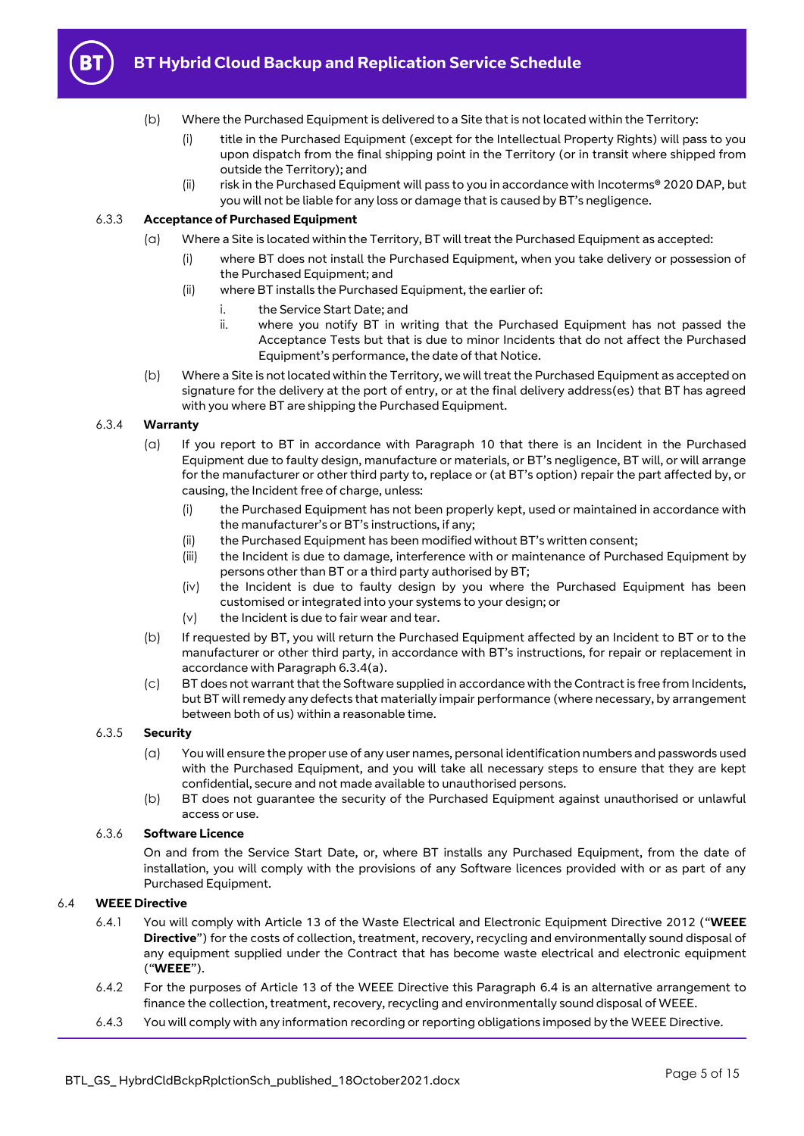

- (b) Where the Purchased Equipment is delivered to a Site that is not located within the Territory:
	- (i) title in the Purchased Equipment (except for the Intellectual Property Rights) will pass to you upon dispatch from the final shipping point in the Territory (or in transit where shipped from outside the Territory); and
	- (ii) risk in the Purchased Equipment will pass to you in accordance with Incoterms® 2020 DAP, but you will not be liable for any loss or damage that is caused by BT's negligence.

#### 6.3.3 **Acceptance of Purchased Equipment**

- (a) Where a Site is located within the Territory, BT will treat the Purchased Equipment as accepted:
	- (i) where BT does not install the Purchased Equipment, when you take delivery or possession of the Purchased Equipment; and
	- (ii) where BT installs the Purchased Equipment, the earlier of:
		- i. the Service Start Date; and
		- ii. where you notify BT in writing that the Purchased Equipment has not passed the Acceptance Tests but that is due to minor Incidents that do not affect the Purchased Equipment's performance, the date of that Notice.
- (b) Where a Site is not located within the Territory, we will treat the Purchased Equipment as accepted on signature for the delivery at the port of entry, or at the final delivery address(es) that BT has agreed with you where BT are shipping the Purchased Equipment.

## <span id="page-4-0"></span>6.3.4 **Warranty**

- (a) If you report to BT in accordance with Paragraph [10](#page-9-0) that there is an Incident in the Purchased Equipment due to faulty design, manufacture or materials, or BT's negligence, BT will, or will arrange for the manufacturer or other third party to, replace or (at BT's option) repair the part affected by, or causing, the Incident free of charge, unless:
	- (i) the Purchased Equipment has not been properly kept, used or maintained in accordance with the manufacturer's or BT's instructions, if any;
	- (ii) the Purchased Equipment has been modified without BT's written consent;
	- (iii) the Incident is due to damage, interference with or maintenance of Purchased Equipment by persons other than BT or a third party authorised by BT;
	- (iv) the Incident is due to faulty design by you where the Purchased Equipment has been customised or integrated into your systems to your design; or
	- $(v)$  the Incident is due to fair wear and tear.
- (b) If requested by BT, you will return the Purchased Equipment affected by an Incident to BT or to the manufacturer or other third party, in accordance with BT's instructions, for repair or replacement in accordance with Paragrap[h 6.3.4\(a\).](#page-4-0)
- (c) BT does not warrant that the Software supplied in accordance with the Contract is free from Incidents, but BT will remedy any defects that materially impair performance (where necessary, by arrangement between both of us) within a reasonable time.

## 6.3.5 **Security**

- (a) You will ensure the proper use of any user names, personal identification numbers and passwords used with the Purchased Equipment, and you will take all necessary steps to ensure that they are kept confidential, secure and not made available to unauthorised persons.
- (b) BT does not guarantee the security of the Purchased Equipment against unauthorised or unlawful access or use.

## 6.3.6 **Software Licence**

On and from the Service Start Date, or, where BT installs any Purchased Equipment, from the date of installation, you will comply with the provisions of any Software licences provided with or as part of any Purchased Equipment.

## <span id="page-4-2"></span><span id="page-4-1"></span>6.4 **WEEE Directive**

- 6.4.1 You will comply with Article 13 of the Waste Electrical and Electronic Equipment Directive 2012 ("**WEEE Directive**") for the costs of collection, treatment, recovery, recycling and environmentally sound disposal of any equipment supplied under the Contract that has become waste electrical and electronic equipment ("**WEEE**").
- 6.4.2 For the purposes of Article 13 of the WEEE Directive this Paragraph [6.4](#page-4-1) is an alternative arrangement to finance the collection, treatment, recovery, recycling and environmentally sound disposal of WEEE.
- 6.4.3 You will comply with any information recording or reporting obligations imposed by the WEEE Directive.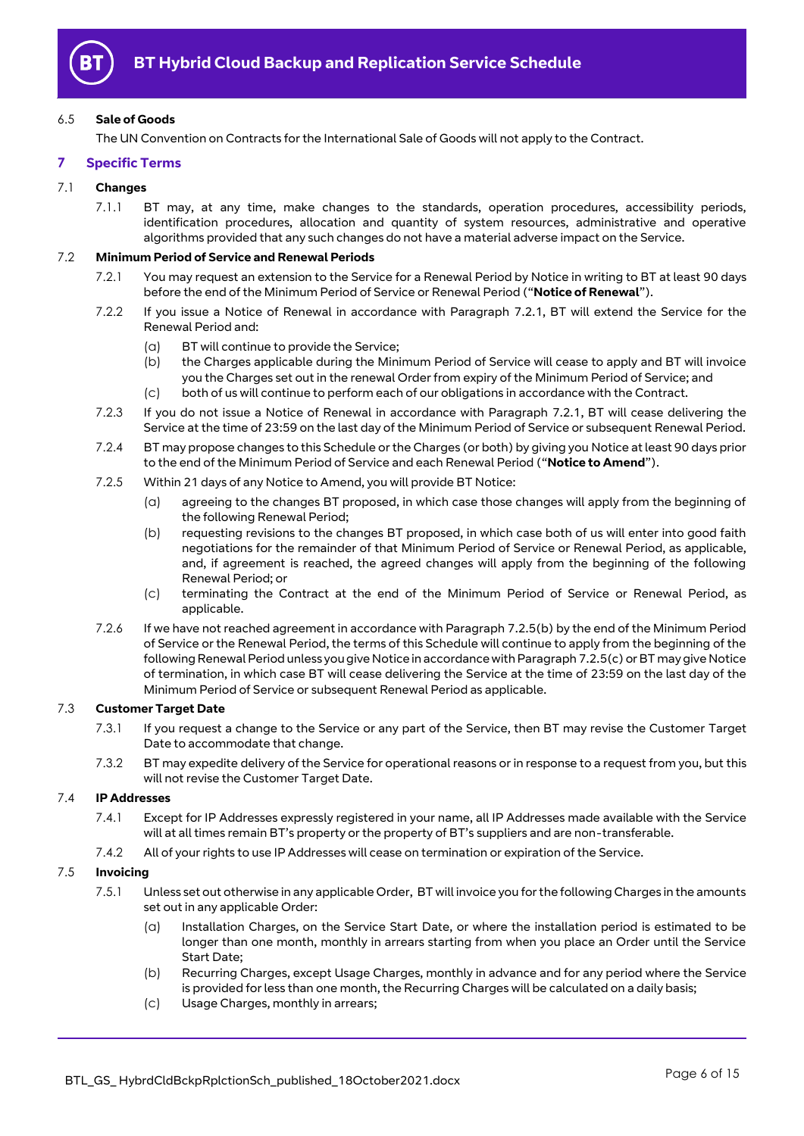

## 6.5 **Sale of Goods**

The UN Convention on Contracts for the International Sale of Goods will not apply to the Contract.

## <span id="page-5-0"></span>**7 Specific Terms**

## 7.1 **Changes**

7.1.1 BT may, at any time, make changes to the standards, operation procedures, accessibility periods, identification procedures, allocation and quantity of system resources, administrative and operative algorithms provided that any such changes do not have a material adverse impact on the Service.

#### <span id="page-5-1"></span>7.2 **Minimum Period of Service and Renewal Periods**

- 7.2.1 You may request an extension to the Service for a Renewal Period by Notice in writing to BT at least 90 days before the end of the Minimum Period of Service or Renewal Period ("**Notice of Renewal**").
- 7.2.2 If you issue a Notice of Renewal in accordance with Paragraph [7.2.1,](#page-5-1) BT will extend the Service for the Renewal Period and:
	- (a) BT will continue to provide the Service;
	- (b) the Charges applicable during the Minimum Period of Service will cease to apply and BT will invoice you the Charges set out in the renewal Order from expiry of the Minimum Period of Service; and
	- (c) both of us will continue to perform each of our obligations in accordance with the Contract.
- 7.2.3 If you do not issue a Notice of Renewal in accordance with Paragraph [7.2.1,](#page-5-1) BT will cease delivering the Service at the time of 23:59 on the last day of the Minimum Period of Service or subsequent Renewal Period.
- <span id="page-5-4"></span>7.2.4 BT may propose changes to this Schedule or the Charges (or both) by giving you Notice at least 90 days prior to the end of the Minimum Period of Service and each Renewal Period ("**Notice to Amend**").
- <span id="page-5-2"></span>7.2.5 Within 21 days of any Notice to Amend, you will provide BT Notice:
	- (a) agreeing to the changes BT proposed, in which case those changes will apply from the beginning of the following Renewal Period;
	- (b) requesting revisions to the changes BT proposed, in which case both of us will enter into good faith negotiations for the remainder of that Minimum Period of Service or Renewal Period, as applicable, and, if agreement is reached, the agreed changes will apply from the beginning of the following Renewal Period; or
	- (c) terminating the Contract at the end of the Minimum Period of Service or Renewal Period, as applicable.
- <span id="page-5-3"></span>7.2.6 If we have not reached agreement in accordance with Paragrap[h 7.2.5\(b\)](#page-5-2) by the end of the Minimum Period of Service or the Renewal Period, the terms of this Schedule will continue to apply from the beginning of the following Renewal Period unless you give Notice in accordance with Paragrap[h 7.2.5\(c\)](#page-5-3) or BT may give Notice of termination, in which case BT will cease delivering the Service at the time of 23:59 on the last day of the Minimum Period of Service or subsequent Renewal Period as applicable.

## 7.3 **Customer Target Date**

- 7.3.1 If you request a change to the Service or any part of the Service, then BT may revise the Customer Target Date to accommodate that change.
- 7.3.2 BT may expedite delivery of the Service for operational reasons or in response to a request from you, but this will not revise the Customer Target Date.

## 7.4 **IP Addresses**

- 7.4.1 Except for IP Addresses expressly registered in your name, all IP Addresses made available with the Service will at all times remain BT's property or the property of BT's suppliers and are non-transferable.
- 7.4.2 All of your rights to use IP Addresses will cease on termination or expiration of the Service.

## 7.5 **Invoicing**

- 7.5.1 Unless set out otherwise in any applicable Order, BT will invoice you for the following Charges in the amounts set out in any applicable Order:
	- (a) Installation Charges, on the Service Start Date, or where the installation period is estimated to be longer than one month, monthly in arrears starting from when you place an Order until the Service Start Date;
	- (b) Recurring Charges, except Usage Charges, monthly in advance and for any period where the Service is provided for less than one month, the Recurring Charges will be calculated on a daily basis;
	- (c) Usage Charges, monthly in arrears;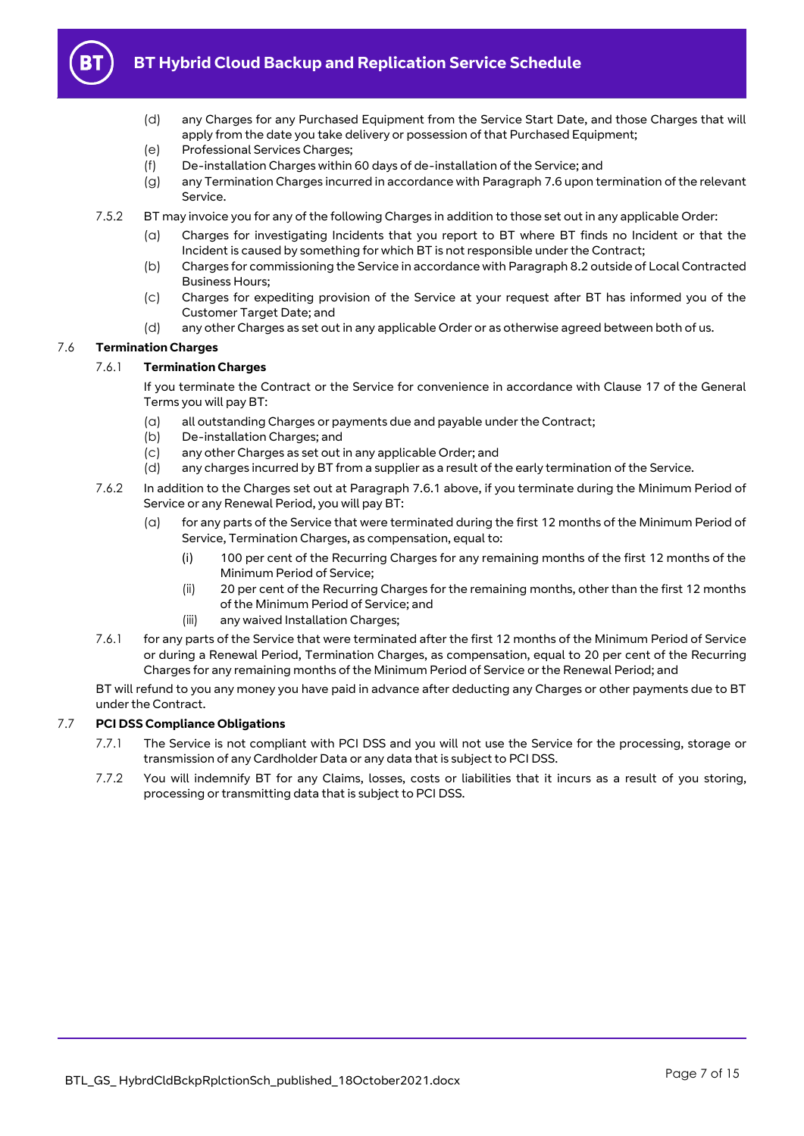

- (d) any Charges for any Purchased Equipment from the Service Start Date, and those Charges that will apply from the date you take delivery or possession of that Purchased Equipment;
- (e) Professional Services Charges;
- (f) De-installation Charges within 60 days of de-installation of the Service; and
- (g) any Termination Charges incurred in accordance with Paragrap[h 7.6](#page-6-0) upon termination of the relevant Service.
- 7.5.2 BT may invoice you for any of the following Charges in addition to those set out in any applicable Order:
	- (a) Charges for investigating Incidents that you report to BT where BT finds no Incident or that the Incident is caused by something for which BT is not responsible under the Contract;
	- (b) Charges for commissioning the Service in accordance with Paragrap[h 8.2](#page-7-3) outside of Local Contracted Business Hours;
	- (c) Charges for expediting provision of the Service at your request after BT has informed you of the Customer Target Date; and
	- (d) any other Charges as set out in any applicable Order or as otherwise agreed between both of us.

#### <span id="page-6-1"></span><span id="page-6-0"></span>7.6 **Termination Charges**

## 7.6.1 **Termination Charges**

If you terminate the Contract or the Service for convenience in accordance with Clause 17 of the General Terms you will pay BT:

- (a) all outstanding Charges or payments due and payable under the Contract;
- (b) De-installation Charges; and
- (c) any other Charges as set out in any applicable Order; and
- (d) any charges incurred by BT from a supplier as a result of the early termination of the Service.
- 7.6.2 In addition to the Charges set out at Paragrap[h 7.6.1](#page-6-1) above, if you terminate during the Minimum Period of Service or any Renewal Period, you will pay BT:
	- (a) for any parts of the Service that were terminated during the first 12 months of the Minimum Period of Service, Termination Charges, as compensation, equal to:
		- (i) 100 per cent of the Recurring Charges for any remaining months of the first 12 months of the Minimum Period of Service;
		- (ii) 20 per cent of the Recurring Charges for the remaining months, other than the first 12 months of the Minimum Period of Service; and
		- (iii) any waived Installation Charges;
- 7.6.1 for any parts of the Service that were terminated after the first 12 months of the Minimum Period of Service or during a Renewal Period, Termination Charges, as compensation, equal to 20 per cent of the Recurring Charges for any remaining months of the Minimum Period of Service or the Renewal Period; and

BT will refund to you any money you have paid in advance after deducting any Charges or other payments due to BT under the Contract.

## 7.7 **PCI DSS Compliance Obligations**

- 7.7.1 The Service is not compliant with PCI DSS and you will not use the Service for the processing, storage or transmission of any Cardholder Data or any data that is subject to PCI DSS.
- 7.7.2 You will indemnify BT for any Claims, losses, costs or liabilities that it incurs as a result of you storing, processing or transmitting data that is subject to PCI DSS.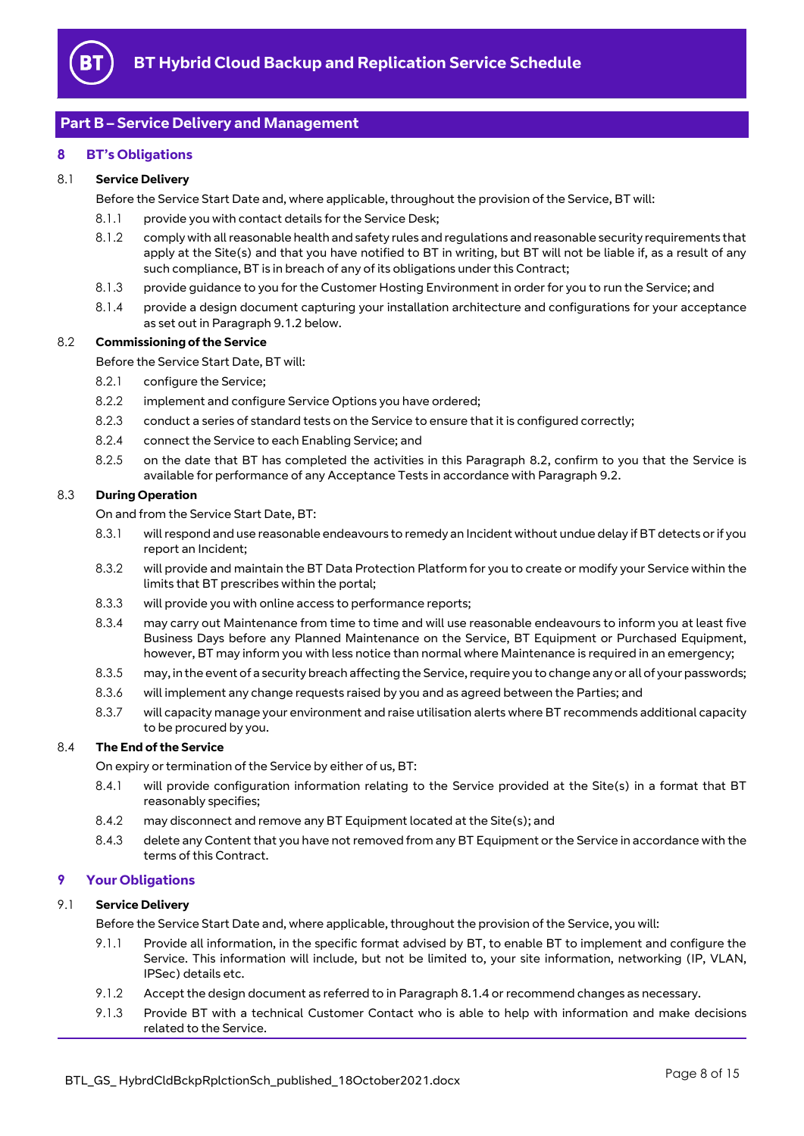

## <span id="page-7-0"></span>**Part B – Service Delivery and Management**

## <span id="page-7-1"></span>**8 BT's Obligations**

## 8.1 **Service Delivery**

Before the Service Start Date and, where applicable, throughout the provision of the Service, BT will:

- 8.1.1 provide you with contact details for the Service Desk;
- 8.1.2 comply with all reasonable health and safety rules and regulations and reasonable security requirements that apply at the Site(s) and that you have notified to BT in writing, but BT will not be liable if, as a result of any such compliance, BT is in breach of any of its obligations under this Contract;
- 8.1.3 provide guidance to you for the Customer Hosting Environment in order for you to run the Service; and
- 8.1.4 provide a design document capturing your installation architecture and configurations for your acceptance as set out in Paragrap[h 9.1.2](#page-7-4) below.

## <span id="page-7-5"></span><span id="page-7-3"></span>8.2 **Commissioning of the Service**

Before the Service Start Date, BT will:

- 8.2.1 configure the Service;
- 8.2.2 implement and configure Service Options you have ordered;
- 8.2.3 conduct a series of standard tests on the Service to ensure that it is configured correctly;
- 8.2.4 connect the Service to each Enabling Service; and
- 8.2.5 on the date that BT has completed the activities in this Paragraph [8.2,](#page-7-3) confirm to you that the Service is available for performance of any Acceptance Tests in accordance with Paragrap[h 9.2.](#page-8-0)

## <span id="page-7-8"></span><span id="page-7-6"></span>8.3 **During Operation**

On and from the Service Start Date, BT:

- 8.3.1 will respond and use reasonable endeavours to remedy an Incident without undue delay if BT detects or if you report an Incident;
- 8.3.2 will provide and maintain the BT Data Protection Platform for you to create or modify your Service within the limits that BT prescribes within the portal;
- 8.3.3 will provide you with online access to performance reports;
- 8.3.4 may carry out Maintenance from time to time and will use reasonable endeavours to inform you at least five Business Days before any Planned Maintenance on the Service, BT Equipment or Purchased Equipment, however, BT may inform you with less notice than normal where Maintenance is required in an emergency;
- 8.3.5 may, in the event of a security breach affecting the Service, require you to change any or all of your passwords;
- 8.3.6 will implement any change requests raised by you and as agreed between the Parties; and
- 8.3.7 will capacity manage your environment and raise utilisation alerts where BT recommends additional capacity to be procured by you.

## <span id="page-7-7"></span>8.4 **The End of the Service**

On expiry or termination of the Service by either of us, BT:

- 8.4.1 will provide configuration information relating to the Service provided at the Site(s) in a format that BT reasonably specifies;
- 8.4.2 may disconnect and remove any BT Equipment located at the Site(s); and
- 8.4.3 delete any Content that you have not removed from any BT Equipment or the Service in accordance with the terms of this Contract.

## <span id="page-7-2"></span>**9 Your Obligations**

## 9.1 **Service Delivery**

Before the Service Start Date and, where applicable, throughout the provision of the Service, you will:

- 9.1.1 Provide all information, in the specific format advised by BT, to enable BT to implement and configure the Service. This information will include, but not be limited to, your site information, networking (IP, VLAN, IPSec) details etc.
- <span id="page-7-4"></span>9.1.2 Accept the design document as referred to in Paragrap[h 8.1.4](#page-7-5) or recommend changes as necessary.
- 9.1.3 Provide BT with a technical Customer Contact who is able to help with information and make decisions related to the Service.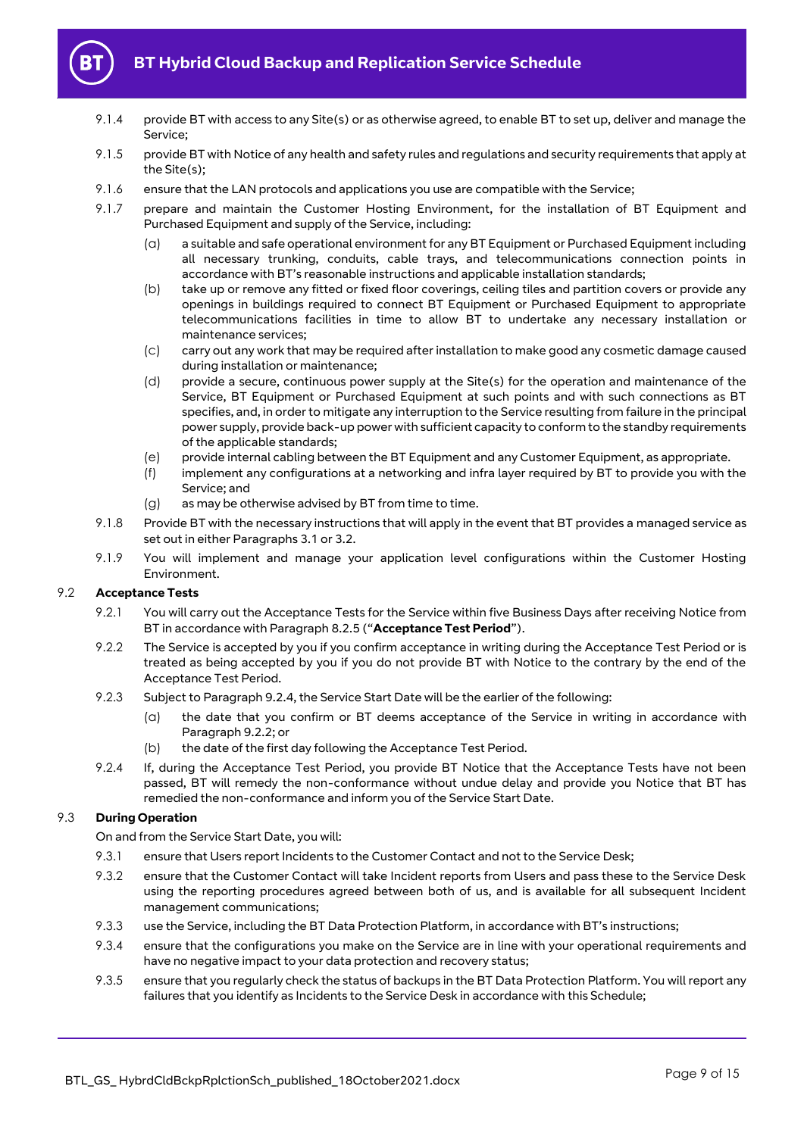

- 9.1.4 provide BT with access to any Site(s) or as otherwise agreed, to enable BT to set up, deliver and manage the Service;
- 9.1.5 provide BT with Notice of any health and safety rules and regulations and security requirements that apply at the Site(s);
- 9.1.6 ensure that the LAN protocols and applications you use are compatible with the Service;
- 9.1.7 prepare and maintain the Customer Hosting Environment, for the installation of BT Equipment and Purchased Equipment and supply of the Service, including:
	- (a) a suitable and safe operational environment for any BT Equipment or Purchased Equipment including all necessary trunking, conduits, cable trays, and telecommunications connection points in accordance with BT's reasonable instructions and applicable installation standards;
	- (b) take up or remove any fitted or fixed floor coverings, ceiling tiles and partition covers or provide any openings in buildings required to connect BT Equipment or Purchased Equipment to appropriate telecommunications facilities in time to allow BT to undertake any necessary installation or maintenance services;
	- (c) carry out any work that may be required after installation to make good any cosmetic damage caused during installation or maintenance;
	- (d) provide a secure, continuous power supply at the Site(s) for the operation and maintenance of the Service, BT Equipment or Purchased Equipment at such points and with such connections as BT specifies, and, in order to mitigate any interruption to the Service resulting from failure in the principal power supply, provide back-up power with sufficient capacity to conform to the standby requirements of the applicable standards;
	- (e) provide internal cabling between the BT Equipment and any Customer Equipment, as appropriate.
	- (f) implement any configurations at a networking and infra layer required by BT to provide you with the Service; and
	- (g) as may be otherwise advised by BT from time to time.
- 9.1.8 Provide BT with the necessary instructions that will apply in the event that BT provides a managed service as set out in either Paragraph[s 3.1](#page-1-7) o[r 3.2.](#page-1-8)
- 9.1.9 You will implement and manage your application level configurations within the Customer Hosting Environment.

## <span id="page-8-3"></span><span id="page-8-0"></span>9.2 **Acceptance Tests**

- 9.2.1 You will carry out the Acceptance Tests for the Service within five Business Days after receiving Notice from BT in accordance with Paragrap[h 8.2.5](#page-7-6) ("**Acceptance Test Period**").
- <span id="page-8-2"></span>9.2.2 The Service is accepted by you if you confirm acceptance in writing during the Acceptance Test Period or is treated as being accepted by you if you do not provide BT with Notice to the contrary by the end of the Acceptance Test Period.
- 9.2.3 Subject to Paragrap[h 9.2.4,](#page-8-1) the Service Start Date will be the earlier of the following:
	- (a) the date that you confirm or BT deems acceptance of the Service in writing in accordance with Paragrap[h 9.2.2;](#page-8-2) or
	- (b) the date of the first day following the Acceptance Test Period.
- <span id="page-8-1"></span>9.2.4 If, during the Acceptance Test Period, you provide BT Notice that the Acceptance Tests have not been passed, BT will remedy the non-conformance without undue delay and provide you Notice that BT has remedied the non-conformance and inform you of the Service Start Date.

## 9.3 **During Operation**

On and from the Service Start Date, you will:

- 9.3.1 ensure that Users report Incidents to the Customer Contact and not to the Service Desk;
- 9.3.2 ensure that the Customer Contact will take Incident reports from Users and pass these to the Service Desk using the reporting procedures agreed between both of us, and is available for all subsequent Incident management communications;
- 9.3.3 use the Service, including the BT Data Protection Platform, in accordance with BT's instructions;
- 9.3.4 ensure that the configurations you make on the Service are in line with your operational requirements and have no negative impact to your data protection and recovery status;
- 9.3.5 ensure that you regularly check the status of backups in the BT Data Protection Platform. You will report any failures that you identify as Incidents to the Service Desk in accordance with this Schedule;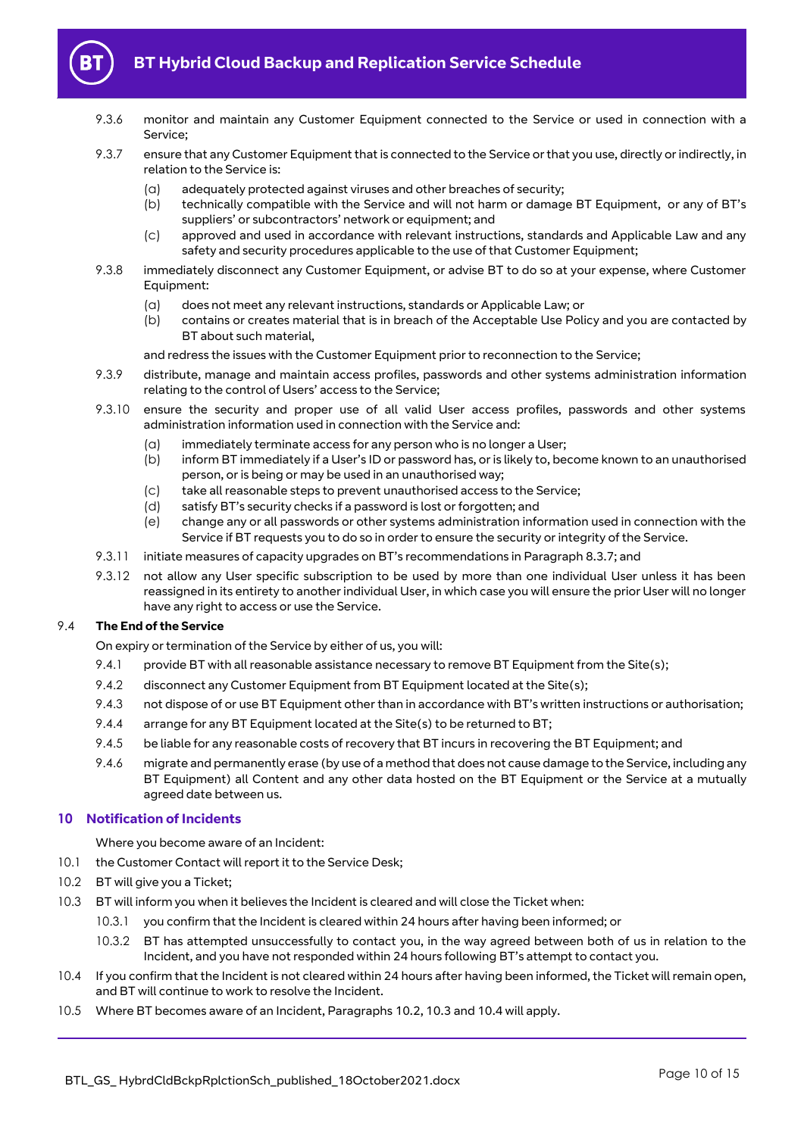

- 9.3.6 monitor and maintain any Customer Equipment connected to the Service or used in connection with a Service;
- 9.3.7 ensure that any Customer Equipment that is connected to the Service or that you use, directly or indirectly, in relation to the Service is:
	- (a) adequately protected against viruses and other breaches of security;
	- (b) technically compatible with the Service and will not harm or damage BT Equipment, or any of BT's suppliers' or subcontractors' network or equipment; and
	- (c) approved and used in accordance with relevant instructions, standards and Applicable Law and any safety and security procedures applicable to the use of that Customer Equipment;
- 9.3.8 immediately disconnect any Customer Equipment, or advise BT to do so at your expense, where Customer Equipment:
	- (a) does not meet any relevant instructions, standards or Applicable Law; or
	- (b) contains or creates material that is in breach of the Acceptable Use Policy and you are contacted by BT about such material,

and redress the issues with the Customer Equipment prior to reconnection to the Service;

- 9.3.9 distribute, manage and maintain access profiles, passwords and other systems administration information relating to the control of Users' access to the Service;
- 9.3.10 ensure the security and proper use of all valid User access profiles, passwords and other systems administration information used in connection with the Service and:
	- (a) immediately terminate access for any person who is no longer a User;
	- (b) inform BT immediately if a User's ID or password has, or is likely to, become known to an unauthorised person, or is being or may be used in an unauthorised way;
	- (c) take all reasonable steps to prevent unauthorised access to the Service;
	- (d) satisfy BT's security checks if a password is lost or forgotten; and
	- (e) change any or all passwords or other systems administration information used in connection with the Service if BT requests you to do so in order to ensure the security or integrity of the Service.
- <span id="page-9-4"></span>9.3.11 initiate measures of capacity upgrades on BT's recommendations in Paragraph [8.3.7;](#page-7-7) and
- 9.3.12 not allow any User specific subscription to be used by more than one individual User unless it has been reassigned in its entirety to another individual User, in which case you will ensure the prior User will no longer have any right to access or use the Service.

## 9.4 **The End of the Service**

On expiry or termination of the Service by either of us, you will:

- 9.4.1 provide BT with all reasonable assistance necessary to remove BT Equipment from the Site(s);
- 9.4.2 disconnect any Customer Equipment from BT Equipment located at the Site(s);
- 9.4.3 not dispose of or use BT Equipment other than in accordance with BT's written instructions or authorisation;
- 9.4.4 arrange for any BT Equipment located at the Site(s) to be returned to BT;
- 9.4.5 be liable for any reasonable costs of recovery that BT incurs in recovering the BT Equipment; and
- 9.4.6 migrate and permanently erase (by use of a method that does not cause damage to the Service, including any BT Equipment) all Content and any other data hosted on the BT Equipment or the Service at a mutually agreed date between us.

#### <span id="page-9-0"></span>**10 Notification of Incidents**

Where you become aware of an Incident:

- 10.1 the Customer Contact will report it to the Service Desk;
- <span id="page-9-1"></span>10.2 BT will give you a Ticket;
- <span id="page-9-2"></span>10.3 BT will inform you when it believes the Incident is cleared and will close the Ticket when:
	- 10.3.1 you confirm that the Incident is cleared within 24 hours after having been informed; or
	- 10.3.2 BT has attempted unsuccessfully to contact you, in the way agreed between both of us in relation to the Incident, and you have not responded within 24 hours following BT's attempt to contact you.
- <span id="page-9-3"></span>10.4 If you confirm that the Incident is not cleared within 24 hours after having been informed, the Ticket will remain open, and BT will continue to work to resolve the Incident.
- 10.5 Where BT becomes aware of an Incident, Paragraph[s 10.2,](#page-9-1) [10.3](#page-9-2) an[d 10.4](#page-9-3) will apply.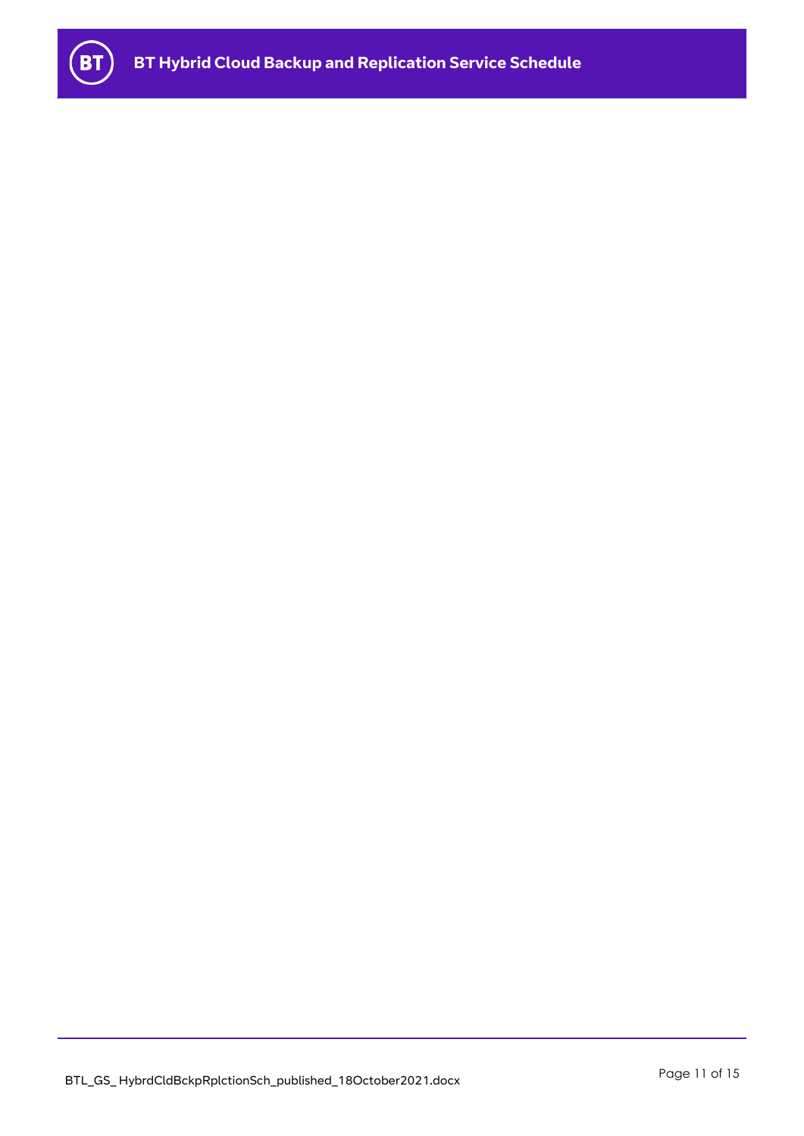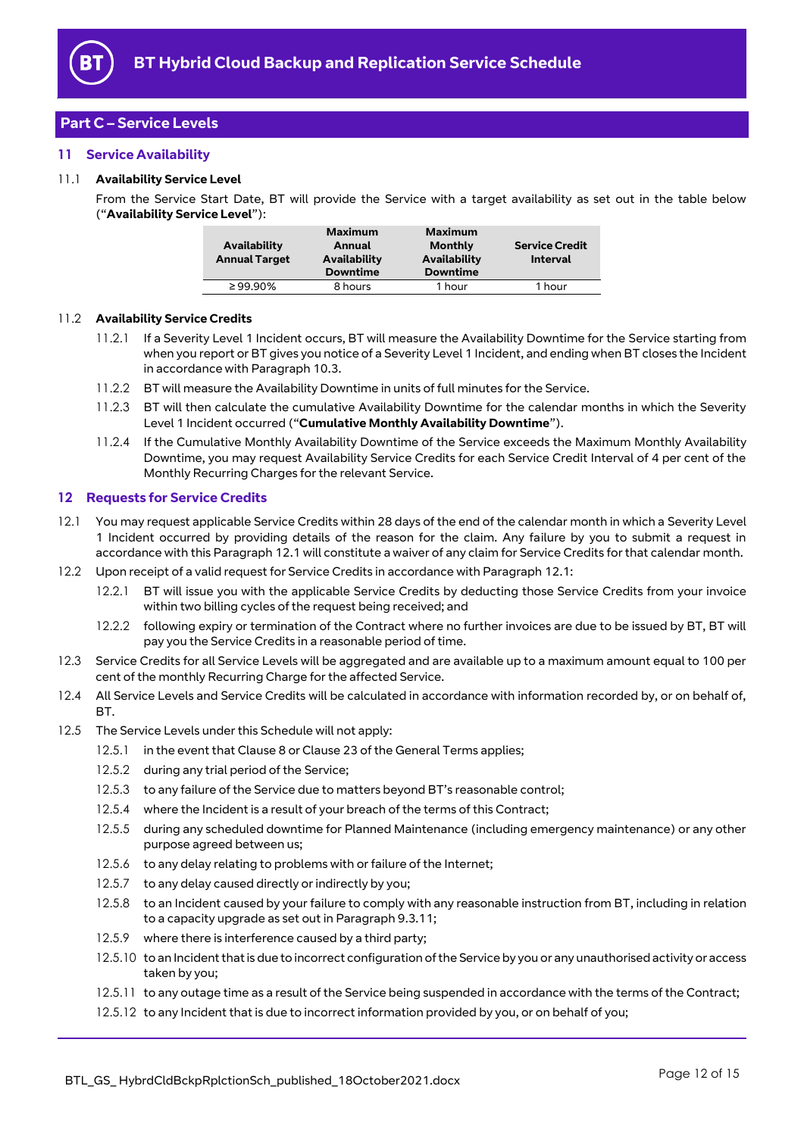

# <span id="page-11-0"></span>**Part C – Service Levels**

## <span id="page-11-1"></span>**11 Service Availability**

## <span id="page-11-4"></span>11.1 **Availability Service Level**

From the Service Start Date, BT will provide the Service with a target availability as set out in the table below ("**Availability Service Level**"):

| <b>Availability</b><br><b>Annual Target</b> | <b>Maximum</b><br>Annual<br><b>Availability</b><br><b>Downtime</b> | Maximum<br>Monthly<br>Availability<br><b>Downtime</b> | <b>Service Credit</b><br><b>Interval</b> |
|---------------------------------------------|--------------------------------------------------------------------|-------------------------------------------------------|------------------------------------------|
| $\geq$ 99.90%                               | 8 hours                                                            | 1 hour                                                | 1 hour                                   |

## <span id="page-11-5"></span>11.2 **Availability Service Credits**

- 11.2.1 If a Severity Level 1 Incident occurs, BT will measure the Availability Downtime for the Service starting from when you report or BT gives you notice of a Severity Level 1 Incident, and ending when BT closes the Incident in accordance with Paragrap[h 10.3.](#page-9-2)
- 11.2.2 BT will measure the Availability Downtime in units of full minutes for the Service.
- <span id="page-11-7"></span>11.2.3 BT will then calculate the cumulative Availability Downtime for the calendar months in which the Severity Level 1 Incident occurred ("**Cumulative Monthly Availability Downtime**").
- <span id="page-11-6"></span>11.2.4 If the Cumulative Monthly Availability Downtime of the Service exceeds the Maximum Monthly Availability Downtime, you may request Availability Service Credits for each Service Credit Interval of 4 per cent of the Monthly Recurring Charges for the relevant Service.

## <span id="page-11-2"></span>**12 Requests for Service Credits**

- <span id="page-11-3"></span>12.1 You may request applicable Service Credits within 28 days of the end of the calendar month in which a Severity Level 1 Incident occurred by providing details of the reason for the claim. Any failure by you to submit a request in accordance with this Paragraph [12.1](#page-11-3) will constitute a waiver of any claim for Service Credits for that calendar month.
- 12.2 Upon receipt of a valid request for Service Credits in accordance with Paragrap[h 12.1:](#page-11-3)
	- 12.2.1 BT will issue you with the applicable Service Credits by deducting those Service Credits from your invoice within two billing cycles of the request being received; and
	- 12.2.2 following expiry or termination of the Contract where no further invoices are due to be issued by BT, BT will pay you the Service Credits in a reasonable period of time.
- 12.3 Service Credits for all Service Levels will be aggregated and are available up to a maximum amount equal to 100 per cent of the monthly Recurring Charge for the affected Service.
- 12.4 All Service Levels and Service Credits will be calculated in accordance with information recorded by, or on behalf of, BT.
- 12.5 The Service Levels under this Schedule will not apply:
	- 12.5.1 in the event that Clause 8 or Clause 23 of the General Terms applies;
	- 12.5.2 during any trial period of the Service;
	- 12.5.3 to any failure of the Service due to matters beyond BT's reasonable control;
	- 12.5.4 where the Incident is a result of your breach of the terms of this Contract;
	- 12.5.5 during any scheduled downtime for Planned Maintenance (including emergency maintenance) or any other purpose agreed between us;
	- 12.5.6 to any delay relating to problems with or failure of the Internet;
	- 12.5.7 to any delay caused directly or indirectly by you;
	- 12.5.8 to an Incident caused by your failure to comply with any reasonable instruction from BT, including in relation to a capacity upgrade as set out in Paragrap[h 9.3.11;](#page-9-4)
	- 12.5.9 where there is interference caused by a third party;
	- 12.5.10 to an Incident that is due to incorrect configuration of the Service by you or any unauthorised activity or access taken by you;
	- 12.5.11 to any outage time as a result of the Service being suspended in accordance with the terms of the Contract;
	- 12.5.12 to any Incident that is due to incorrect information provided by you, or on behalf of you;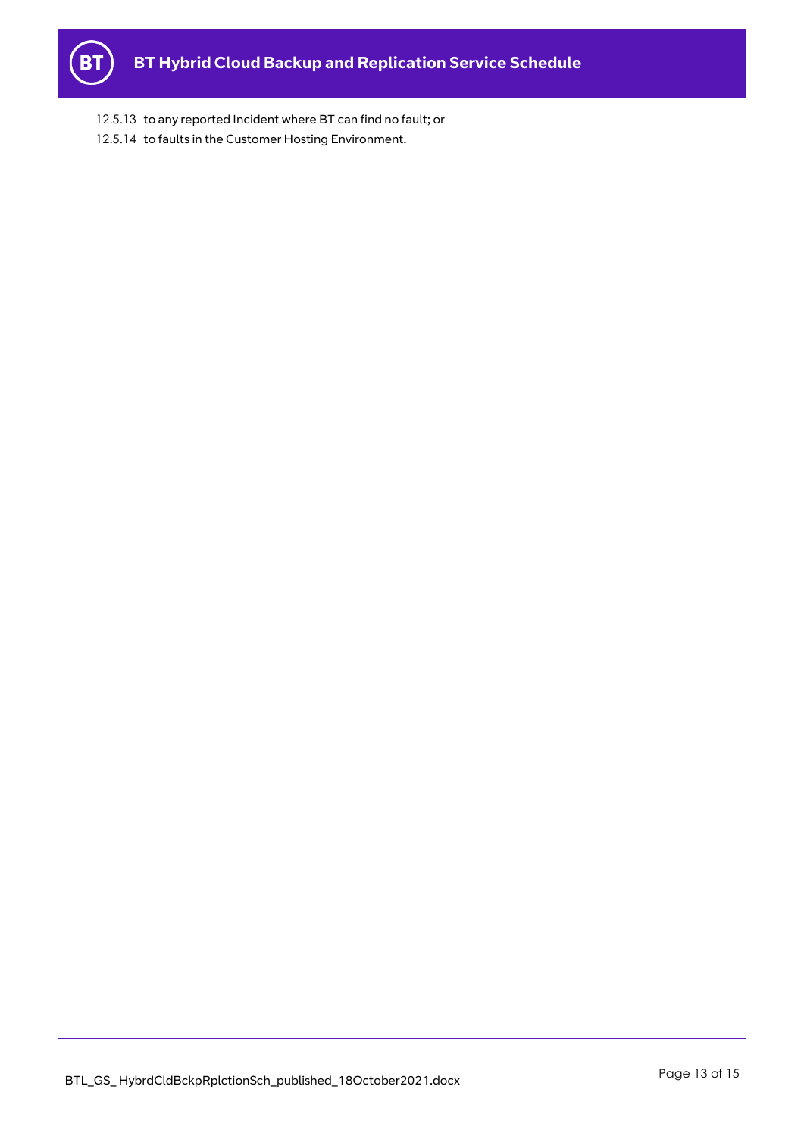

- 12.5.13 to any reported Incident where BT can find no fault; or
- 12.5.14 to faults in the Customer Hosting Environment.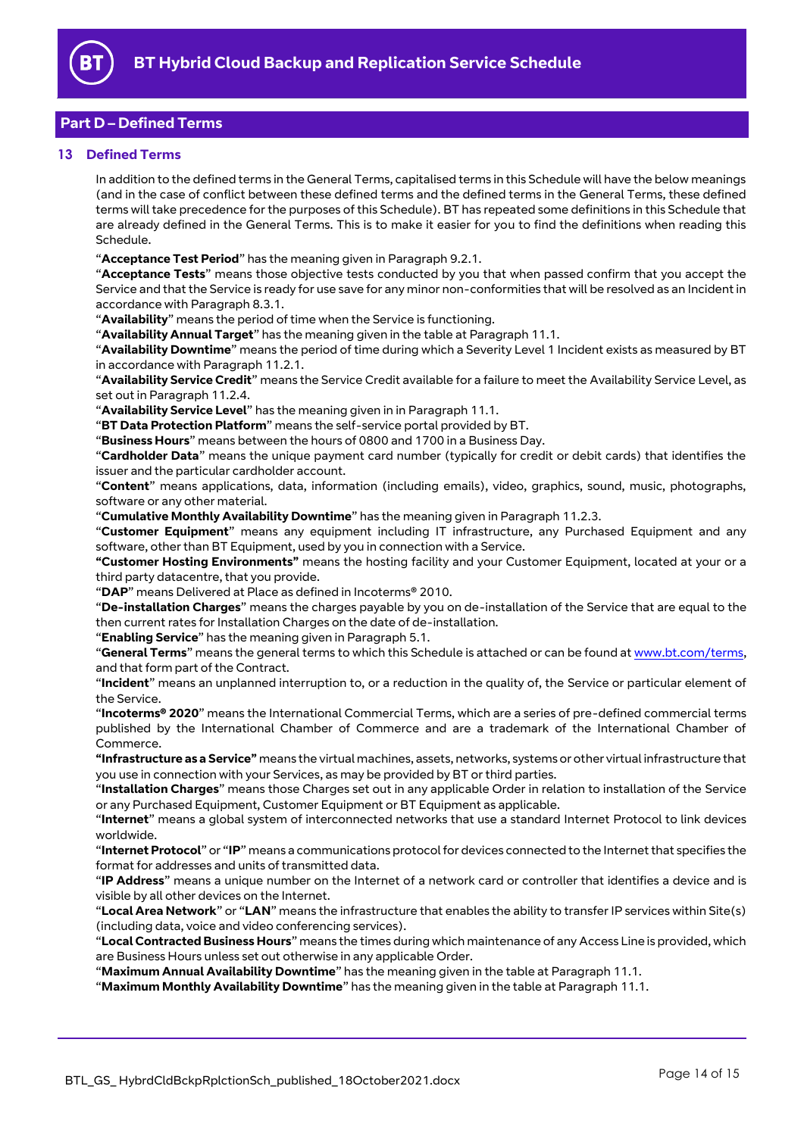

# <span id="page-13-0"></span>**Part D – Defined Terms**

## <span id="page-13-1"></span>**13 Defined Terms**

In addition to the defined terms in the General Terms, capitalised terms in this Schedule will have the below meanings (and in the case of conflict between these defined terms and the defined terms in the General Terms, these defined terms will take precedence for the purposes of this Schedule). BT has repeated some definitions in this Schedule that are already defined in the General Terms. This is to make it easier for you to find the definitions when reading this Schedule.

"**Acceptance Test Period**" has the meaning given in Paragrap[h 9.2.1.](#page-8-3)

"**Acceptance Tests**" means those objective tests conducted by you that when passed confirm that you accept the Service and that the Service is ready for use save for any minor non-conformities that will be resolved as an Incident in accordance with Paragrap[h 8.3.1.](#page-7-8)

"**Availability**" means the period of time when the Service is functioning.

"**Availability Annual Target**" has the meaning given in the table at Paragrap[h 11.1.](#page-11-4)

"**Availability Downtime**" means the period of time during which a Severity Level 1 Incident exists as measured by BT in accordance with Paragrap[h 11.2.1.](#page-11-5)

"**Availability Service Credit**" means the Service Credit available for a failure to meet the Availability Service Level, as set out in Paragrap[h 11.2.4.](#page-11-6)

"**Availability Service Level**" has the meaning given in in Paragrap[h 11.1.](#page-11-4)

"**BT Data Protection Platform**" means the self-service portal provided by BT.

"**Business Hours**" means between the hours of 0800 and 1700 in a Business Day.

"**Cardholder Data**" means the unique payment card number (typically for credit or debit cards) that identifies the issuer and the particular cardholder account.

"**Content**" means applications, data, information (including emails), video, graphics, sound, music, photographs, software or any other material.

"**Cumulative Monthly Availability Downtime**" has the meaning given in Paragrap[h 11.2.3.](#page-11-7)

"**Customer Equipment**" means any equipment including IT infrastructure, any Purchased Equipment and any software, other than BT Equipment, used by you in connection with a Service.

**"Customer Hosting Environments"** means the hosting facility and your Customer Equipment, located at your or a third party datacentre, that you provide.

"**DAP**" means Delivered at Place as defined in Incoterms® 2010.

"**De-installation Charges**" means the charges payable by you on de-installation of the Service that are equal to the then current rates for Installation Charges on the date of de-installation.

"**Enabling Service**" has the meaning given in Paragrap[h 5.1.](#page-2-3)

"**General Terms**" means the general terms to which this Schedule is attached or can be found a[t www.bt.com/terms,](http://www.bt.com/terms) and that form part of the Contract.

"**Incident**" means an unplanned interruption to, or a reduction in the quality of, the Service or particular element of the Service.

"**Incoterms® 2020**" means the International Commercial Terms, which are a series of pre-defined commercial terms published by the International Chamber of Commerce and are a trademark of the International Chamber of Commerce.

**"Infrastructure as a Service"** means the virtual machines, assets, networks, systems or other virtual infrastructure that you use in connection with your Services, as may be provided by BT or third parties.

"**Installation Charges**" means those Charges set out in any applicable Order in relation to installation of the Service or any Purchased Equipment, Customer Equipment or BT Equipment as applicable.

"**Internet**" means a global system of interconnected networks that use a standard Internet Protocol to link devices worldwide.

"**Internet Protocol**" or "**IP**" means a communications protocol for devices connected to the Internet that specifies the format for addresses and units of transmitted data.

"**IP Address**" means a unique number on the Internet of a network card or controller that identifies a device and is visible by all other devices on the Internet.

"**Local Area Network**" or "**LAN**" means the infrastructure that enables the ability to transfer IP services within Site(s) (including data, voice and video conferencing services).

"**Local Contracted Business Hours**" means the times during which maintenance of any Access Line is provided, which are Business Hours unless set out otherwise in any applicable Order.

"**Maximum Annual Availability Downtime**" has the meaning given in the table at Paragrap[h 11.1.](#page-11-4)

"**Maximum Monthly Availability Downtime**" has the meaning given in the table at Paragrap[h 11.1.](#page-11-4)